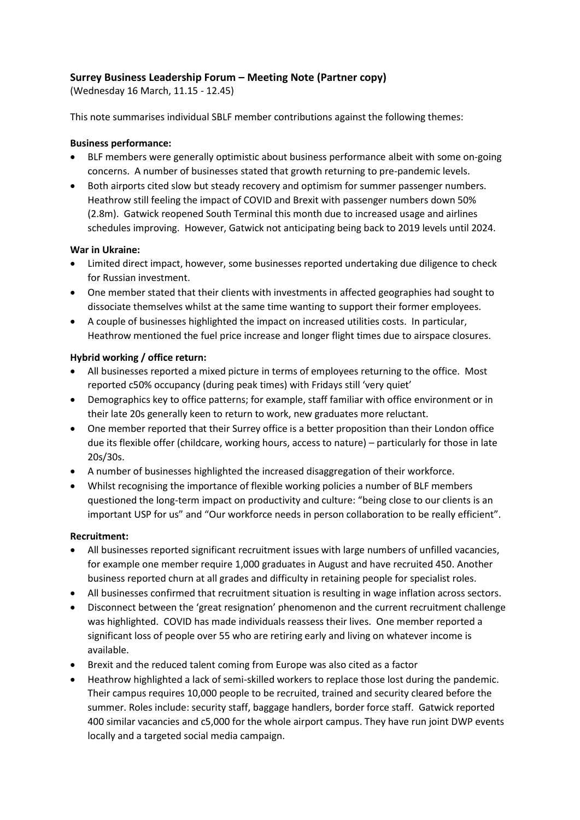# **Surrey Business Leadership Forum – Meeting Note (Partner copy)**

(Wednesday 16 March, 11.15 - 12.45)

This note summarises individual SBLF member contributions against the following themes:

# **Business performance:**

- BLF members were generally optimistic about business performance albeit with some on-going concerns. A number of businesses stated that growth returning to pre-pandemic levels.
- Both airports cited slow but steady recovery and optimism for summer passenger numbers. Heathrow still feeling the impact of COVID and Brexit with passenger numbers down 50% (2.8m). Gatwick reopened South Terminal this month due to increased usage and airlines schedules improving. However, Gatwick not anticipating being back to 2019 levels until 2024.

# **War in Ukraine:**

- Limited direct impact, however, some businesses reported undertaking due diligence to check for Russian investment.
- One member stated that their clients with investments in affected geographies had sought to dissociate themselves whilst at the same time wanting to support their former employees.
- A couple of businesses highlighted the impact on increased utilities costs. In particular, Heathrow mentioned the fuel price increase and longer flight times due to airspace closures.

# **Hybrid working / office return:**

- All businesses reported a mixed picture in terms of employees returning to the office. Most reported c50% occupancy (during peak times) with Fridays still 'very quiet'
- Demographics key to office patterns; for example, staff familiar with office environment or in their late 20s generally keen to return to work, new graduates more reluctant.
- One member reported that their Surrey office is a better proposition than their London office due its flexible offer (childcare, working hours, access to nature) – particularly for those in late 20s/30s.
- A number of businesses highlighted the increased disaggregation of their workforce.
- Whilst recognising the importance of flexible working policies a number of BLF members questioned the long-term impact on productivity and culture: "being close to our clients is an important USP for us" and "Our workforce needs in person collaboration to be really efficient".

### **Recruitment:**

- All businesses reported significant recruitment issues with large numbers of unfilled vacancies, for example one member require 1,000 graduates in August and have recruited 450. Another business reported churn at all grades and difficulty in retaining people for specialist roles.
- All businesses confirmed that recruitment situation is resulting in wage inflation across sectors.
- Disconnect between the 'great resignation' phenomenon and the current recruitment challenge was highlighted. COVID has made individuals reassess their lives. One member reported a significant loss of people over 55 who are retiring early and living on whatever income is available.
- Brexit and the reduced talent coming from Europe was also cited as a factor
- Heathrow highlighted a lack of semi-skilled workers to replace those lost during the pandemic. Their campus requires 10,000 people to be recruited, trained and security cleared before the summer. Roles include: security staff, baggage handlers, border force staff. Gatwick reported 400 similar vacancies and c5,000 for the whole airport campus. They have run joint DWP events locally and a targeted social media campaign.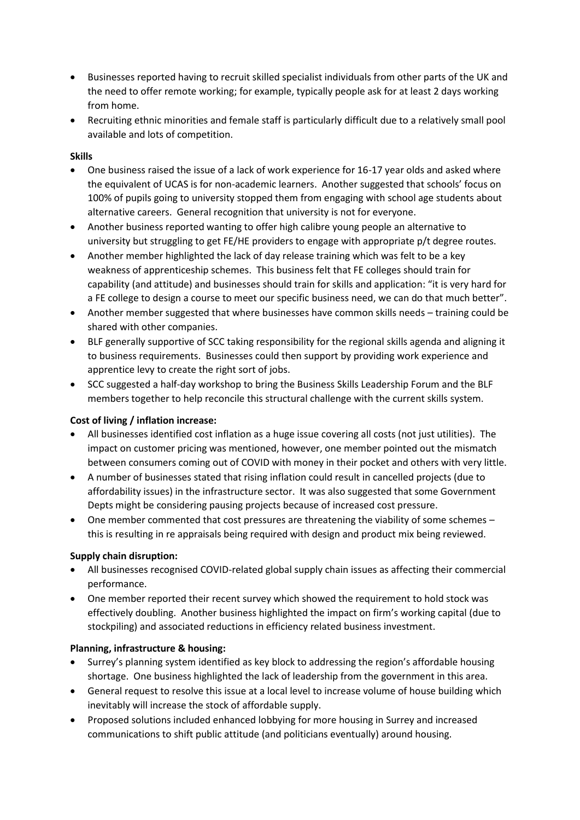- Businesses reported having to recruit skilled specialist individuals from other parts of the UK and the need to offer remote working; for example, typically people ask for at least 2 days working from home.
- Recruiting ethnic minorities and female staff is particularly difficult due to a relatively small pool available and lots of competition.

# **Skills**

- One business raised the issue of a lack of work experience for 16-17 year olds and asked where the equivalent of UCAS is for non-academic learners. Another suggested that schools' focus on 100% of pupils going to university stopped them from engaging with school age students about alternative careers. General recognition that university is not for everyone.
- Another business reported wanting to offer high calibre young people an alternative to university but struggling to get FE/HE providers to engage with appropriate p/t degree routes.
- Another member highlighted the lack of day release training which was felt to be a key weakness of apprenticeship schemes. This business felt that FE colleges should train for capability (and attitude) and businesses should train for skills and application: "it is very hard for a FE college to design a course to meet our specific business need, we can do that much better".
- Another member suggested that where businesses have common skills needs training could be shared with other companies.
- BLF generally supportive of SCC taking responsibility for the regional skills agenda and aligning it to business requirements. Businesses could then support by providing work experience and apprentice levy to create the right sort of jobs.
- SCC suggested a half-day workshop to bring the Business Skills Leadership Forum and the BLF members together to help reconcile this structural challenge with the current skills system.

### **Cost of living / inflation increase:**

- All businesses identified cost inflation as a huge issue covering all costs (not just utilities). The impact on customer pricing was mentioned, however, one member pointed out the mismatch between consumers coming out of COVID with money in their pocket and others with very little.
- A number of businesses stated that rising inflation could result in cancelled projects (due to affordability issues) in the infrastructure sector. It was also suggested that some Government Depts might be considering pausing projects because of increased cost pressure.
- One member commented that cost pressures are threatening the viability of some schemes this is resulting in re appraisals being required with design and product mix being reviewed.

### **Supply chain disruption:**

- All businesses recognised COVID-related global supply chain issues as affecting their commercial performance.
- One member reported their recent survey which showed the requirement to hold stock was effectively doubling. Another business highlighted the impact on firm's working capital (due to stockpiling) and associated reductions in efficiency related business investment.

### **Planning, infrastructure & housing:**

- Surrey's planning system identified as key block to addressing the region's affordable housing shortage. One business highlighted the lack of leadership from the government in this area.
- General request to resolve this issue at a local level to increase volume of house building which inevitably will increase the stock of affordable supply.
- Proposed solutions included enhanced lobbying for more housing in Surrey and increased communications to shift public attitude (and politicians eventually) around housing.